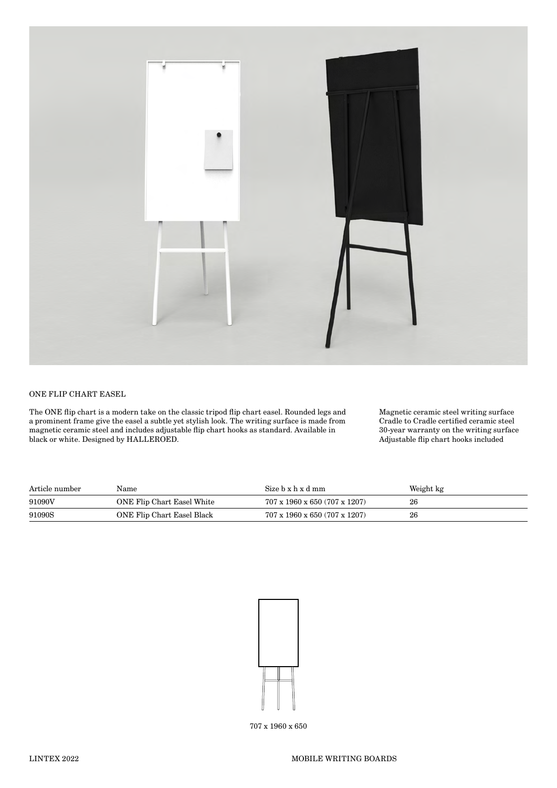

## ONE FLIP CHART EASEL

The ONE flip chart is a modern take on the classic tripod flip chart easel. Rounded legs and a prominent frame give the easel a subtle yet stylish look. The writing surface is made from magnetic ceramic steel and includes adjustable flip chart hooks as standard. Available in black or white. Designed by HALLEROED.

Magnetic ceramic steel writing surface Cradle to Cradle certified ceramic steel 30-year warranty on the writing surface Adjustable flip chart hooks included

| Article number | Name                       | Size b x h x d mm                         | Weight kg |
|----------------|----------------------------|-------------------------------------------|-----------|
| 91090V         | ONE Flip Chart Easel White | $707 \times 1960 \times 650$ (707 x 1207) | 26        |
| 91090S         | ONE Flip Chart Easel Black | 707 x 1960 x 650 (707 x 1207)             | 26        |



707 x 1960 x 650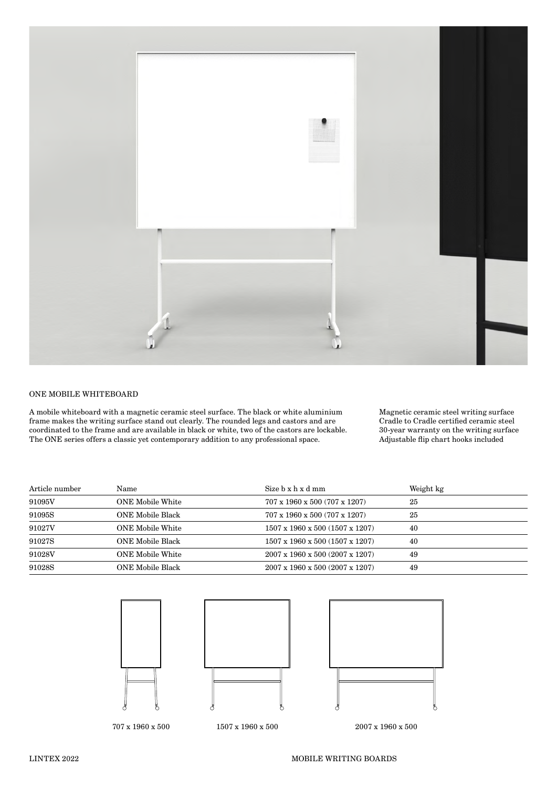

## ONE MOBILE WHITEBOARD

A mobile whiteboard with a magnetic ceramic steel surface. The black or white aluminium frame makes the writing surface stand out clearly. The rounded legs and castors and are coordinated to the frame and are available in black or white, two of the castors are lockable. The ONE series offers a classic yet contemporary addition to any professional space.

Magnetic ceramic steel writing surface Cradle to Cradle certified ceramic steel 30-year warranty on the writing surface Adjustable flip chart hooks included

| Article number | Name                    | Size b x h x d mm                           | Weight kg |
|----------------|-------------------------|---------------------------------------------|-----------|
| 91095V         | <b>ONE Mobile White</b> | 707 x 1960 x 500 (707 x 1207)               | 25        |
| 91095S         | ONE Mobile Black        | $707 \times 1960 \times 500$ (707 x 1207)   | 25        |
| 91027V         | ONE Mobile White        | $1507 \times 1960 \times 500$ (1507 x 1207) | 40        |
| 91027S         | ONE Mobile Black        | $1507 \times 1960 \times 500$ (1507 x 1207) | 40        |
| 91028V         | <b>ONE Mobile White</b> | $2007 \times 1960 \times 500$ (2007 x 1207) | 49        |
| 91028S         | ONE Mobile Black        | $2007 \times 1960 \times 500$ (2007 x 1207) | 49        |



707 x 1960 x 500 1507 x 1960 x 500 2007 x 1960 x 500